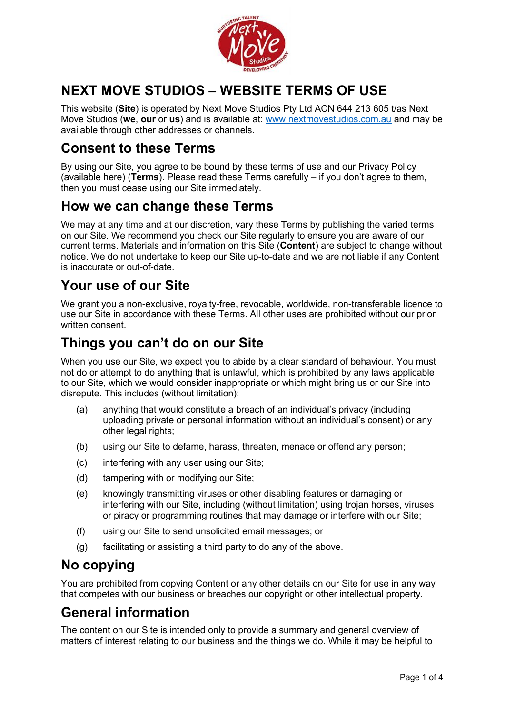

# **NEXT MOVE STUDIOS – WEBSITE TERMS OF USE**

This website (**Site**) is operated by Next Move Studios Pty Ltd ACN 644 213 605 t/as Next Move Studios (**we**, **our** or **us**) and is available at: [www.nextmovestudios.com.au](http://www.nextmovestudios.com.au/) and may be available through other addresses or channels.

## **Consent to these Terms**

By using our Site, you agree to be bound by these terms of use and our Privacy Policy (available here) (**Terms**). Please read these Terms carefully – if you don't agree to them, then you must cease using our Site immediately.

#### **How we can change these Terms**

We may at any time and at our discretion, vary these Terms by publishing the varied terms on our Site. We recommend you check our Site regularly to ensure you are aware of our current terms. Materials and information on this Site (**Content**) are subject to change without notice. We do not undertake to keep our Site up-to-date and we are not liable if any Content is inaccurate or out-of-date.

## **Your use of our Site**

We grant you a non-exclusive, royalty-free, revocable, worldwide, non-transferable licence to use our Site in accordance with these Terms. All other uses are prohibited without our prior written consent.

### **Things you can't do on our Site**

When you use our Site, we expect you to abide by a clear standard of behaviour. You must not do or attempt to do anything that is unlawful, which is prohibited by any laws applicable to our Site, which we would consider inappropriate or which might bring us or our Site into disrepute. This includes (without limitation):

- (a) anything that would constitute a breach of an individual's privacy (including uploading private or personal information without an individual's consent) or any other legal rights;
- (b) using our Site to defame, harass, threaten, menace or offend any person;
- (c) interfering with any user using our Site;
- (d) tampering with or modifying our Site;
- (e) knowingly transmitting viruses or other disabling features or damaging or interfering with our Site, including (without limitation) using trojan horses, viruses or piracy or programming routines that may damage or interfere with our Site;
- (f) using our Site to send unsolicited email messages; or
- (g) facilitating or assisting a third party to do any of the above.

## **No copying**

You are prohibited from copying Content or any other details on our Site for use in any way that competes with our business or breaches our copyright or other intellectual property.

# **General information**

The content on our Site is intended only to provide a summary and general overview of matters of interest relating to our business and the things we do. While it may be helpful to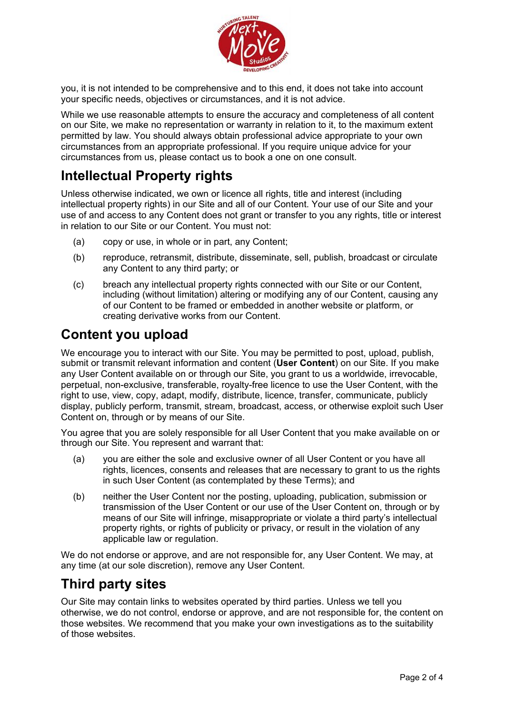

you, it is not intended to be comprehensive and to this end, it does not take into account your specific needs, objectives or circumstances, and it is not advice.

While we use reasonable attempts to ensure the accuracy and completeness of all content on our Site, we make no representation or warranty in relation to it, to the maximum extent permitted by law. You should always obtain professional advice appropriate to your own circumstances from an appropriate professional. If you require unique advice for your circumstances from us, please contact us to book a one on one consult.

#### **Intellectual Property rights**

Unless otherwise indicated, we own or licence all rights, title and interest (including intellectual property rights) in our Site and all of our Content. Your use of our Site and your use of and access to any Content does not grant or transfer to you any rights, title or interest in relation to our Site or our Content. You must not:

- (a) copy or use, in whole or in part, any Content;
- (b) reproduce, retransmit, distribute, disseminate, sell, publish, broadcast or circulate any Content to any third party; or
- (c) breach any intellectual property rights connected with our Site or our Content, including (without limitation) altering or modifying any of our Content, causing any of our Content to be framed or embedded in another website or platform, or creating derivative works from our Content.

#### **Content you upload**

We encourage you to interact with our Site. You may be permitted to post, upload, publish, submit or transmit relevant information and content (**User Content**) on our Site. If you make any User Content available on or through our Site, you grant to us a worldwide, irrevocable, perpetual, non-exclusive, transferable, royalty-free licence to use the User Content, with the right to use, view, copy, adapt, modify, distribute, licence, transfer, communicate, publicly display, publicly perform, transmit, stream, broadcast, access, or otherwise exploit such User Content on, through or by means of our Site.

You agree that you are solely responsible for all User Content that you make available on or through our Site. You represent and warrant that:

- (a) you are either the sole and exclusive owner of all User Content or you have all rights, licences, consents and releases that are necessary to grant to us the rights in such User Content (as contemplated by these Terms); and
- (b) neither the User Content nor the posting, uploading, publication, submission or transmission of the User Content or our use of the User Content on, through or by means of our Site will infringe, misappropriate or violate a third party's intellectual property rights, or rights of publicity or privacy, or result in the violation of any applicable law or regulation.

We do not endorse or approve, and are not responsible for, any User Content. We may, at any time (at our sole discretion), remove any User Content.

## **Third party sites**

Our Site may contain links to websites operated by third parties. Unless we tell you otherwise, we do not control, endorse or approve, and are not responsible for, the content on those websites. We recommend that you make your own investigations as to the suitability of those websites.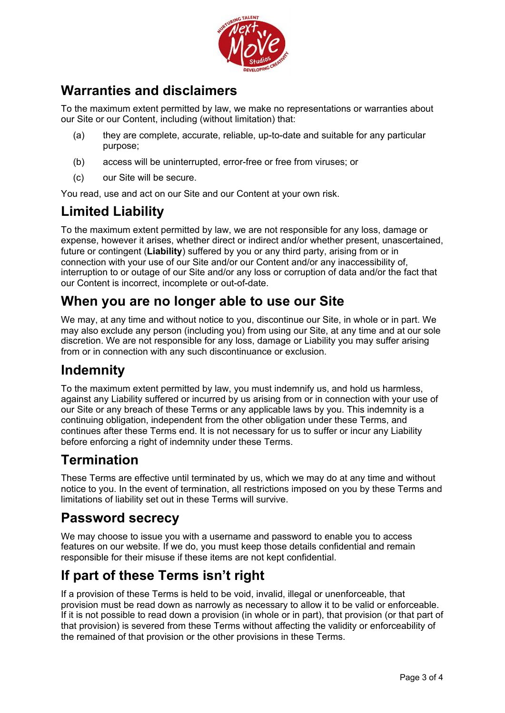

## **Warranties and disclaimers**

To the maximum extent permitted by law, we make no representations or warranties about our Site or our Content, including (without limitation) that:

- (a) they are complete, accurate, reliable, up-to-date and suitable for any particular purpose;
- (b) access will be uninterrupted, error-free or free from viruses; or
- (c) our Site will be secure.

You read, use and act on our Site and our Content at your own risk.

## **Limited Liability**

To the maximum extent permitted by law, we are not responsible for any loss, damage or expense, however it arises, whether direct or indirect and/or whether present, unascertained, future or contingent (**Liability**) suffered by you or any third party, arising from or in connection with your use of our Site and/or our Content and/or any inaccessibility of, interruption to or outage of our Site and/or any loss or corruption of data and/or the fact that our Content is incorrect, incomplete or out-of-date.

#### **When you are no longer able to use our Site**

We may, at any time and without notice to you, discontinue our Site, in whole or in part. We may also exclude any person (including you) from using our Site, at any time and at our sole discretion. We are not responsible for any loss, damage or Liability you may suffer arising from or in connection with any such discontinuance or exclusion.

#### **Indemnity**

To the maximum extent permitted by law, you must indemnify us, and hold us harmless, against any Liability suffered or incurred by us arising from or in connection with your use of our Site or any breach of these Terms or any applicable laws by you. This indemnity is a continuing obligation, independent from the other obligation under these Terms, and continues after these Terms end. It is not necessary for us to suffer or incur any Liability before enforcing a right of indemnity under these Terms.

#### **Termination**

These Terms are effective until terminated by us, which we may do at any time and without notice to you. In the event of termination, all restrictions imposed on you by these Terms and limitations of liability set out in these Terms will survive.

#### **Password secrecy**

We may choose to issue you with a username and password to enable you to access features on our website. If we do, you must keep those details confidential and remain responsible for their misuse if these items are not kept confidential.

## **If part of these Terms isn't right**

If a provision of these Terms is held to be void, invalid, illegal or unenforceable, that provision must be read down as narrowly as necessary to allow it to be valid or enforceable. If it is not possible to read down a provision (in whole or in part), that provision (or that part of that provision) is severed from these Terms without affecting the validity or enforceability of the remained of that provision or the other provisions in these Terms.